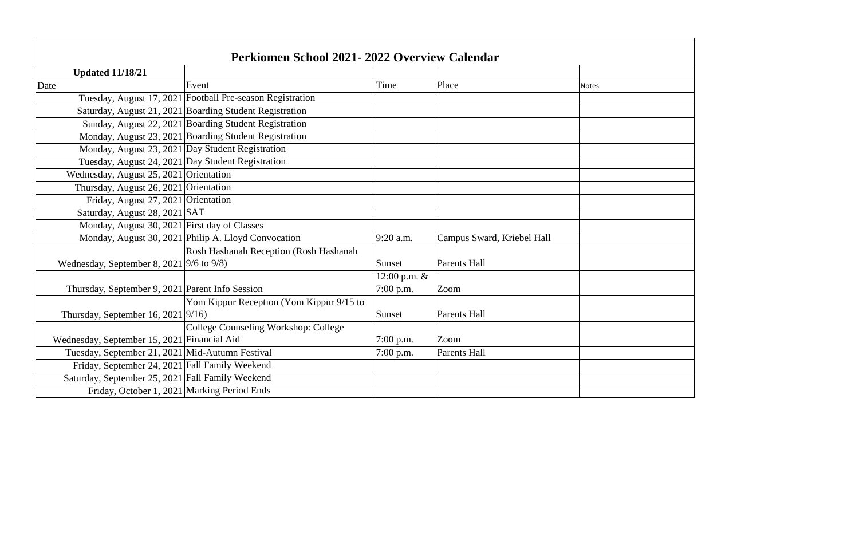| Perkiomen School 2021-2022 Overview Calendar      |                                                           |              |                            |       |
|---------------------------------------------------|-----------------------------------------------------------|--------------|----------------------------|-------|
| <b>Updated 11/18/21</b>                           |                                                           |              |                            |       |
| Date                                              | Event                                                     | Time         | Place                      | Notes |
|                                                   | Tuesday, August 17, 2021 Football Pre-season Registration |              |                            |       |
|                                                   | Saturday, August 21, 2021 Boarding Student Registration   |              |                            |       |
|                                                   | Sunday, August 22, 2021 Boarding Student Registration     |              |                            |       |
|                                                   | Monday, August 23, 2021 Boarding Student Registration     |              |                            |       |
| Monday, August 23, 2021 Day Student Registration  |                                                           |              |                            |       |
| Tuesday, August 24, 2021 Day Student Registration |                                                           |              |                            |       |
| Wednesday, August 25, 2021 Orientation            |                                                           |              |                            |       |
| Thursday, August 26, 2021 Orientation             |                                                           |              |                            |       |
| Friday, August 27, 2021 Orientation               |                                                           |              |                            |       |
| Saturday, August 28, 2021 SAT                     |                                                           |              |                            |       |
| Monday, August 30, 2021 First day of Classes      |                                                           |              |                            |       |
|                                                   | Monday, August 30, 2021 Philip A. Lloyd Convocation       | $9:20$ a.m.  | Campus Sward, Kriebel Hall |       |
|                                                   | Rosh Hashanah Reception (Rosh Hashanah                    |              |                            |       |
| Wednesday, September 8, 2021 9/6 to 9/8)          |                                                           | Sunset       | Parents Hall               |       |
|                                                   |                                                           | 12:00 p.m. & |                            |       |
| Thursday, September 9, 2021   Parent Info Session |                                                           | 7:00 p.m.    | <b>Zoom</b>                |       |
|                                                   | Yom Kippur Reception (Yom Kippur 9/15 to                  |              |                            |       |
| Thursday, September 16, 2021 $ 9/16$ )            |                                                           | Sunset       | <b>Parents Hall</b>        |       |
|                                                   | College Counseling Workshop: College                      |              |                            |       |
| Wednesday, September 15, 2021 Financial Aid       |                                                           | 7:00 p.m.    | Zoom                       |       |
| Tuesday, September 21, 2021 Mid-Autumn Festival   |                                                           | 7:00 p.m.    | <b>Parents Hall</b>        |       |
| Friday, September 24, 2021 Fall Family Weekend    |                                                           |              |                            |       |
| Saturday, September 25, 2021 Fall Family Weekend  |                                                           |              |                            |       |
| Friday, October 1, 2021 Marking Period Ends       |                                                           |              |                            |       |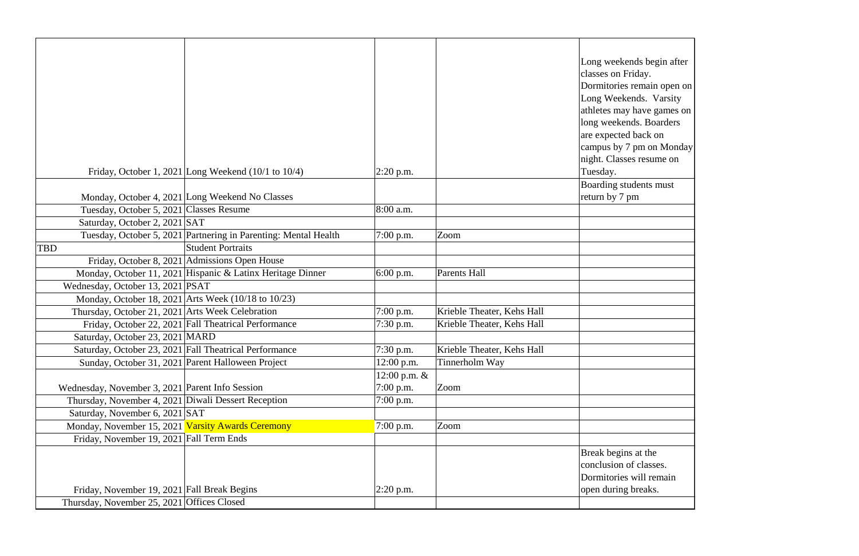| Long weekends begin after<br>classes on Friday.<br>Dormitories remain open on<br>Long Weekends. Varsity<br>athletes may have games on<br>long weekends. Boarders<br>are expected back on<br>campus by 7 pm on Monday<br>night. Classes resume on<br>Tuesday. |
|--------------------------------------------------------------------------------------------------------------------------------------------------------------------------------------------------------------------------------------------------------------|
| <b>Boarding students must</b>                                                                                                                                                                                                                                |
| return by 7 pm                                                                                                                                                                                                                                               |
|                                                                                                                                                                                                                                                              |
|                                                                                                                                                                                                                                                              |
|                                                                                                                                                                                                                                                              |
|                                                                                                                                                                                                                                                              |
|                                                                                                                                                                                                                                                              |
|                                                                                                                                                                                                                                                              |
|                                                                                                                                                                                                                                                              |
|                                                                                                                                                                                                                                                              |
|                                                                                                                                                                                                                                                              |
|                                                                                                                                                                                                                                                              |
|                                                                                                                                                                                                                                                              |
|                                                                                                                                                                                                                                                              |
|                                                                                                                                                                                                                                                              |
|                                                                                                                                                                                                                                                              |
|                                                                                                                                                                                                                                                              |
|                                                                                                                                                                                                                                                              |
|                                                                                                                                                                                                                                                              |
|                                                                                                                                                                                                                                                              |
|                                                                                                                                                                                                                                                              |
|                                                                                                                                                                                                                                                              |
|                                                                                                                                                                                                                                                              |
| Break begins at the                                                                                                                                                                                                                                          |
| conclusion of classes.                                                                                                                                                                                                                                       |
| Dormitories will remain                                                                                                                                                                                                                                      |
| open during breaks.                                                                                                                                                                                                                                          |
|                                                                                                                                                                                                                                                              |

|                                                     | Friday, October 1, 2021 Long Weekend $(10/1$ to $10/4)$         | $2:20$ p.m.      |                            | Long weekends begin af<br>classes on Friday.<br>Dormitories remain oper<br>Long Weekends. Varsit<br>athletes may have games<br>long weekends. Boarders<br>are expected back on<br>campus by 7 pm on Mon<br>night. Classes resume on<br>Tuesday. |
|-----------------------------------------------------|-----------------------------------------------------------------|------------------|----------------------------|-------------------------------------------------------------------------------------------------------------------------------------------------------------------------------------------------------------------------------------------------|
|                                                     |                                                                 |                  |                            | Boarding students must                                                                                                                                                                                                                          |
|                                                     | Monday, October 4, 2021 Long Weekend No Classes                 |                  |                            | return by 7 pm                                                                                                                                                                                                                                  |
| Tuesday, October 5, 2021 Classes Resume             |                                                                 | 8:00 a.m.        |                            |                                                                                                                                                                                                                                                 |
| Saturday, October 2, 2021 SAT                       |                                                                 |                  |                            |                                                                                                                                                                                                                                                 |
|                                                     | Tuesday, October 5, 2021 Partnering in Parenting: Mental Health | $7:00$ p.m.      | Zoom                       |                                                                                                                                                                                                                                                 |
| TBD                                                 | <b>Student Portraits</b>                                        |                  |                            |                                                                                                                                                                                                                                                 |
|                                                     | Friday, October 8, 2021   Admissions Open House                 |                  |                            |                                                                                                                                                                                                                                                 |
|                                                     | Monday, October 11, 2021 Hispanic & Latinx Heritage Dinner      | 6:00 p.m.        | Parents Hall               |                                                                                                                                                                                                                                                 |
| Wednesday, October 13, 2021 PSAT                    |                                                                 |                  |                            |                                                                                                                                                                                                                                                 |
|                                                     | Monday, October 18, 2021 Arts Week (10/18 to 10/23)             |                  |                            |                                                                                                                                                                                                                                                 |
| Thursday, October 21, 2021 Arts Week Celebration    |                                                                 | $7:00$ p.m.      | Krieble Theater, Kehs Hall |                                                                                                                                                                                                                                                 |
|                                                     | Friday, October 22, 2021 Fall Theatrical Performance            | 7:30 p.m.        | Krieble Theater, Kehs Hall |                                                                                                                                                                                                                                                 |
| Saturday, October 23, 2021 MARD                     |                                                                 |                  |                            |                                                                                                                                                                                                                                                 |
|                                                     | Saturday, October 23, 2021 Fall Theatrical Performance          | 7:30 p.m.        | Krieble Theater, Kehs Hall |                                                                                                                                                                                                                                                 |
|                                                     | Sunday, October 31, 2021 Parent Halloween Project               | $12:00$ p.m.     | Tinnerholm Way             |                                                                                                                                                                                                                                                 |
|                                                     |                                                                 | $12:00$ p.m. $&$ |                            |                                                                                                                                                                                                                                                 |
| Wednesday, November 3, 2021 Parent Info Session     |                                                                 | $7:00$ p.m.      | Zoom                       |                                                                                                                                                                                                                                                 |
| Thursday, November 4, 2021 Diwali Dessert Reception |                                                                 | $7:00$ p.m.      |                            |                                                                                                                                                                                                                                                 |
| Saturday, November 6, 2021 SAT                      |                                                                 |                  |                            |                                                                                                                                                                                                                                                 |
| Monday, November 15, 2021 Varsity Awards Ceremony   |                                                                 | 7:00 p.m.        | Zoom                       |                                                                                                                                                                                                                                                 |
| Friday, November 19, 2021 Fall Term Ends            |                                                                 |                  |                            |                                                                                                                                                                                                                                                 |
|                                                     |                                                                 |                  |                            | Break begins at the<br>conclusion of classes.<br>Dormitories will remain                                                                                                                                                                        |
| Friday, November 19, 2021 Fall Break Begins         |                                                                 | $ 2:20$ p.m.     |                            | open during breaks.                                                                                                                                                                                                                             |
| Thursday, November 25, 2021 Offices Closed          |                                                                 |                  |                            |                                                                                                                                                                                                                                                 |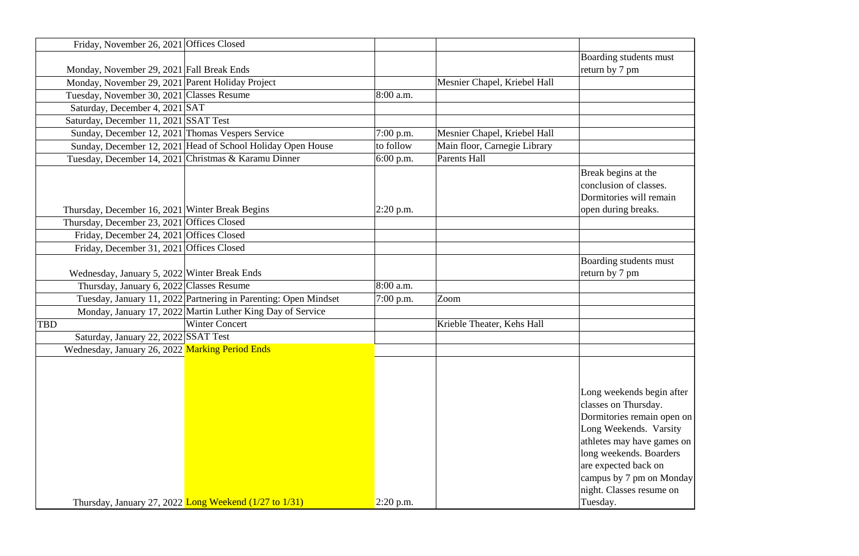|            | Friday, November 26, 2021 Offices Closed   |                                                                 |             |                              |                                                                                                                                                                                                                                                    |
|------------|--------------------------------------------|-----------------------------------------------------------------|-------------|------------------------------|----------------------------------------------------------------------------------------------------------------------------------------------------------------------------------------------------------------------------------------------------|
|            |                                            |                                                                 |             |                              | Boarding students must                                                                                                                                                                                                                             |
|            |                                            | Monday, November 29, 2021 Fall Break Ends                       |             |                              | return by 7 pm                                                                                                                                                                                                                                     |
|            |                                            | Monday, November 29, 2021 Parent Holiday Project                |             | Mesnier Chapel, Kriebel Hall |                                                                                                                                                                                                                                                    |
|            |                                            | Tuesday, November 30, 2021 Classes Resume                       | 8:00 a.m.   |                              |                                                                                                                                                                                                                                                    |
|            | Saturday, December 4, 2021 SAT             |                                                                 |             |                              |                                                                                                                                                                                                                                                    |
|            | Saturday, December 11, 2021 SSAT Test      |                                                                 |             |                              |                                                                                                                                                                                                                                                    |
|            |                                            | Sunday, December 12, 2021 Thomas Vespers Service                | $7:00$ p.m. | Mesnier Chapel, Kriebel Hall |                                                                                                                                                                                                                                                    |
|            |                                            | Sunday, December 12, 2021 Head of School Holiday Open House     | to follow   | Main floor, Carnegie Library |                                                                                                                                                                                                                                                    |
|            |                                            | Tuesday, December 14, 2021 Christmas & Karamu Dinner            | 6:00 p.m.   | Parents Hall                 |                                                                                                                                                                                                                                                    |
|            |                                            | Thursday, December 16, 2021 Winter Break Begins                 | $2:20$ p.m. |                              | Break begins at the<br>conclusion of classes.<br>Dormitories will remain<br>open during breaks.                                                                                                                                                    |
|            | Thursday, December 23, 2021 Offices Closed |                                                                 |             |                              |                                                                                                                                                                                                                                                    |
|            | Friday, December 24, 2021 Offices Closed   |                                                                 |             |                              |                                                                                                                                                                                                                                                    |
|            | Friday, December 31, 2021 Offices Closed   |                                                                 |             |                              |                                                                                                                                                                                                                                                    |
|            |                                            | Wednesday, January 5, 2022 Winter Break Ends                    |             |                              | Boarding students must<br>return by 7 pm                                                                                                                                                                                                           |
|            |                                            | Thursday, January 6, 2022 Classes Resume                        | 8:00 a.m.   |                              |                                                                                                                                                                                                                                                    |
|            |                                            | Tuesday, January 11, 2022 Partnering in Parenting: Open Mindset | $7:00$ p.m. | Zoom                         |                                                                                                                                                                                                                                                    |
|            |                                            | Monday, January 17, 2022 Martin Luther King Day of Service      |             |                              |                                                                                                                                                                                                                                                    |
| <b>TBD</b> |                                            | <b>Winter Concert</b>                                           |             | Krieble Theater, Kehs Hall   |                                                                                                                                                                                                                                                    |
|            | Saturday, January 22, 2022 SSAT Test       |                                                                 |             |                              |                                                                                                                                                                                                                                                    |
|            |                                            | Wednesday, January 26, 2022 Marking Period Ends                 |             |                              |                                                                                                                                                                                                                                                    |
|            |                                            | Thursday, January 27, 2022 Long Weekend $(1/27$ to $1/31)$      | $2:20$ p.m. |                              | Long weekends begin af<br>classes on Thursday.<br>Dormitories remain oper<br>Long Weekends. Varsity<br>athletes may have games<br>long weekends. Boarders<br>are expected back on<br>campus by 7 pm on Mon<br>night. Classes resume on<br>Tuesday. |

| <b>Boarding students must</b> |
|-------------------------------|
| return by 7 pm                |
|                               |
|                               |
|                               |
|                               |
|                               |
|                               |
|                               |
|                               |
| Break begins at the           |
| conclusion of classes.        |
| Dormitories will remain       |
| open during breaks.           |
|                               |
|                               |
|                               |
| Boarding students must        |
| return by 7 pm                |
|                               |
|                               |
|                               |
|                               |
|                               |
|                               |
|                               |
|                               |
|                               |
| Long weekends begin after     |
|                               |
| classes on Thursday.          |
| Dormitories remain open on    |
| Long Weekends. Varsity        |
| athletes may have games on    |
| long weekends. Boarders       |
| are expected back on          |
| campus by 7 pm on Monday      |
| night. Classes resume on      |
| Tuesday                       |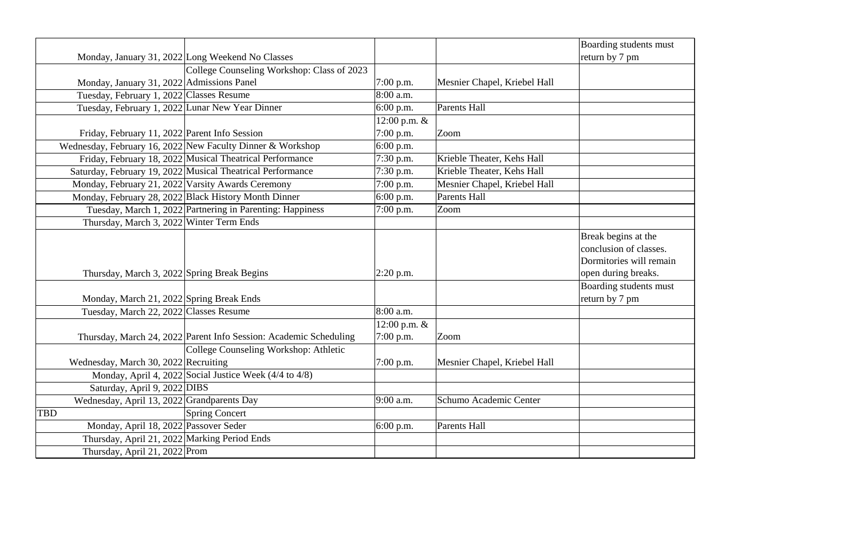|                                                 |                                                                   |                |                              | Boarding students must                                                                          |
|-------------------------------------------------|-------------------------------------------------------------------|----------------|------------------------------|-------------------------------------------------------------------------------------------------|
|                                                 | Monday, January 31, 2022 Long Weekend No Classes                  |                |                              | return by 7 pm                                                                                  |
|                                                 | College Counseling Workshop: Class of 2023                        |                |                              |                                                                                                 |
| Monday, January 31, 2022   Admissions Panel     |                                                                   | $7:00$ p.m.    | Mesnier Chapel, Kriebel Hall |                                                                                                 |
| Tuesday, February 1, 2022 Classes Resume        |                                                                   | 8:00 a.m.      |                              |                                                                                                 |
| Tuesday, February 1, 2022 Lunar New Year Dinner |                                                                   | $6:00$ p.m.    | <b>Parents Hall</b>          |                                                                                                 |
|                                                 |                                                                   | 12:00 p.m. $&$ |                              |                                                                                                 |
| Friday, February 11, 2022 Parent Info Session   |                                                                   | $7:00$ p.m.    | Zoom                         |                                                                                                 |
|                                                 | Wednesday, February 16, 2022 New Faculty Dinner & Workshop        | $6:00$ p.m.    |                              |                                                                                                 |
|                                                 | Friday, February 18, 2022 Musical Theatrical Performance          | 7:30 p.m.      | Krieble Theater, Kehs Hall   |                                                                                                 |
|                                                 | Saturday, February 19, 2022 Musical Theatrical Performance        | 7:30 p.m.      | Krieble Theater, Kehs Hall   |                                                                                                 |
|                                                 | Monday, February 21, 2022 Varsity Awards Ceremony                 | $7:00$ p.m.    | Mesnier Chapel, Kriebel Hall |                                                                                                 |
|                                                 | Monday, February 28, 2022 Black History Month Dinner              | 6:00 p.m.      | Parents Hall                 |                                                                                                 |
|                                                 | Tuesday, March 1, 2022 Partnering in Parenting: Happiness         | $7:00$ p.m.    | Zoom                         |                                                                                                 |
| Thursday, March 3, 2022 Winter Term Ends        |                                                                   |                |                              |                                                                                                 |
| Thursday, March 3, 2022 Spring Break Begins     |                                                                   | $2:20$ p.m.    |                              | Break begins at the<br>conclusion of classes.<br>Dormitories will remain<br>open during breaks. |
| Monday, March 21, 2022 Spring Break Ends        |                                                                   |                |                              | Boarding students must<br>return by 7 pm                                                        |
| Tuesday, March 22, 2022 Classes Resume          |                                                                   | 8:00 a.m.      |                              |                                                                                                 |
|                                                 |                                                                   | 12:00 p.m. $&$ |                              |                                                                                                 |
|                                                 | Thursday, March 24, 2022 Parent Info Session: Academic Scheduling | $7:00$ p.m.    | Zoom                         |                                                                                                 |
|                                                 | College Counseling Workshop: Athletic                             |                |                              |                                                                                                 |
| Wednesday, March 30, 2022 Recruiting            |                                                                   | $7:00$ p.m.    | Mesnier Chapel, Kriebel Hall |                                                                                                 |
|                                                 | Monday, April 4, 2022 Social Justice Week (4/4 to 4/8)            |                |                              |                                                                                                 |
| Saturday, April 9, 2022 DIBS                    |                                                                   |                |                              |                                                                                                 |
| Wednesday, April 13, 2022 Grandparents Day      |                                                                   | 9:00 a.m.      | Schumo Academic Center       |                                                                                                 |
| TBD                                             | <b>Spring Concert</b>                                             |                |                              |                                                                                                 |
| Monday, April 18, 2022 Passover Seder           |                                                                   | $6:00$ p.m.    | Parents Hall                 |                                                                                                 |
| Thursday, April 21, 2022 Marking Period Ends    |                                                                   |                |                              |                                                                                                 |
| Thursday, April 21, 2022 Prom                   |                                                                   |                |                              |                                                                                                 |

| dents must  |
|-------------|
| m           |
|             |
|             |
|             |
|             |
|             |
|             |
|             |
|             |
|             |
|             |
|             |
|             |
|             |
| s at the    |
| f classes.  |
| will remain |
| breaks.     |
| dents must  |
| m           |
|             |
|             |
|             |
|             |
|             |
|             |
|             |
|             |
|             |
|             |
|             |
|             |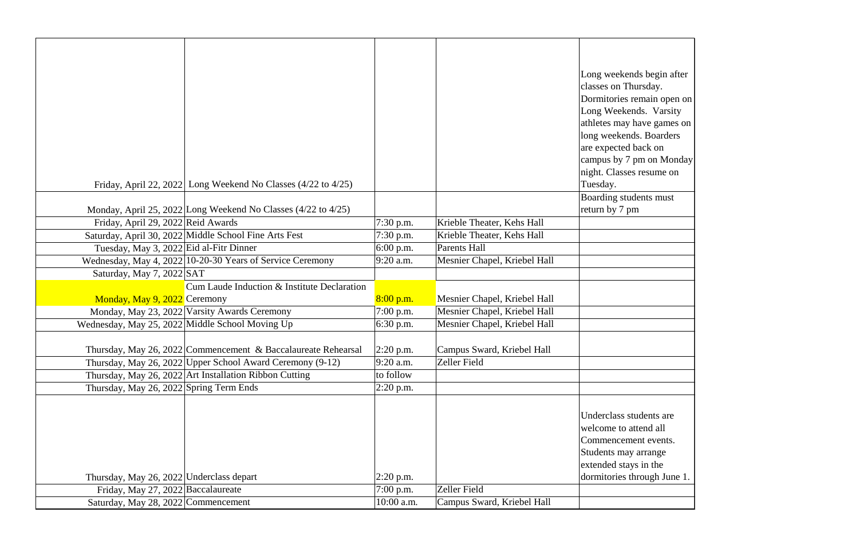|                                                 |                                                               |              |                              | Long weekends begin af<br>classes on Thursday.<br>Dormitories remain oper<br>Long Weekends. Varsit<br>athletes may have games<br>long weekends. Boarder |
|-------------------------------------------------|---------------------------------------------------------------|--------------|------------------------------|---------------------------------------------------------------------------------------------------------------------------------------------------------|
|                                                 |                                                               |              |                              | are expected back on<br>campus by 7 pm on Mor                                                                                                           |
|                                                 | Friday, April 22, 2022 Long Weekend No Classes (4/22 to 4/25) |              |                              | night. Classes resume or<br>Tuesday.                                                                                                                    |
|                                                 | Monday, April 25, 2022 Long Weekend No Classes (4/22 to 4/25) |              |                              | Boarding students must<br>return by 7 pm                                                                                                                |
| Friday, April 29, 2022 Reid Awards              |                                                               | 7:30 p.m.    | Krieble Theater, Kehs Hall   |                                                                                                                                                         |
|                                                 | Saturday, April 30, 2022 Middle School Fine Arts Fest         | $7:30$ p.m.  | Krieble Theater, Kehs Hall   |                                                                                                                                                         |
| Tuesday, May 3, 2022 Eid al-Fitr Dinner         |                                                               | $6:00$ p.m.  | <b>Parents Hall</b>          |                                                                                                                                                         |
|                                                 | Wednesday, May 4, 2022 10-20-30 Years of Service Ceremony     | 9:20 a.m.    | Mesnier Chapel, Kriebel Hall |                                                                                                                                                         |
| Saturday, May 7, 2022 SAT                       |                                                               |              |                              |                                                                                                                                                         |
|                                                 | Cum Laude Induction & Institute Declaration                   |              |                              |                                                                                                                                                         |
| Monday, May 9, 2022 Ceremony                    |                                                               | 8:00 p.m.    | Mesnier Chapel, Kriebel Hall |                                                                                                                                                         |
|                                                 | Monday, May 23, 2022 Varsity Awards Ceremony                  | $7:00$ p.m.  | Mesnier Chapel, Kriebel Hall |                                                                                                                                                         |
| Wednesday, May 25, 2022 Middle School Moving Up |                                                               | 6:30 p.m.    | Mesnier Chapel, Kriebel Hall |                                                                                                                                                         |
|                                                 | Thursday, May 26, 2022 Commencement & Baccalaureate Rehearsal | $ 2:20$ p.m. | Campus Sward, Kriebel Hall   |                                                                                                                                                         |
|                                                 | Thursday, May 26, 2022 Upper School Award Ceremony (9-12)     | 9:20 a.m.    | Zeller Field                 |                                                                                                                                                         |
|                                                 | Thursday, May 26, 2022 Art Installation Ribbon Cutting        | to follow    |                              |                                                                                                                                                         |
| Thursday, May 26, 2022 Spring Term Ends         |                                                               | $2:20$ p.m.  |                              |                                                                                                                                                         |
| Thursday, May 26, 2022 Underclass depart        |                                                               | $2:20$ p.m.  |                              | Underclass students are<br>welcome to attend all<br>Commencement events.<br>Students may arrange<br>extended stays in the<br>dormitories through June   |
| Friday, May 27, 2022 Baccalaureate              |                                                               | $7:00$ p.m.  | Zeller Field                 |                                                                                                                                                         |
| Saturday, May 28, 2022 Commencement             |                                                               | 10:00 a.m.   | Campus Sward, Kriebel Hall   |                                                                                                                                                         |